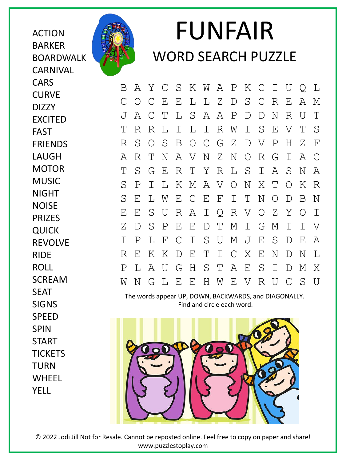ACTION BARKER BOARDWALK **CARNIVAL CARS CURVE** DIZZY EXCITED FAST FRIENDS LAUGH MOTOR MUSIC NIGHT **NOISE** PRIZES QUICK REVOLVE RIDE ROLL SCREAM SEAT SIGNS SPEED **SPIN** START **TICKETS** TURN WHEEL

YELL



## FUNFAIR WORD SEARCH PUZZLE

B A Y C S K W A P K C I U Q L C O C E E L L Z D S C R E A M J A C T L S A A P D D N R U T T R R L I L I R W I S E V T S R S O S B O C G Z D V P H Z F A R T N A V N Z N O R G I A C T S G E R T Y R L S I A S N A S P I L K M A V O N X T O K R S E L W E C E F I T N O D B N E E S U R A I Q R V O Z Y O I Z D S P E E D T M I G M I I V I P L F C I S U M J E S D E A R E K K D E T I C X E N D N L P L A U G H S T A E S I D M X W N G L E E H W E V R U C S U

The words appear UP, DOWN, BACKWARDS, and DIAGONALLY. Find and circle each word.



© 2022 Jodi Jill Not for Resale. Cannot be reposted online. Feel free to copy on paper and share! www.puzzlestoplay.com